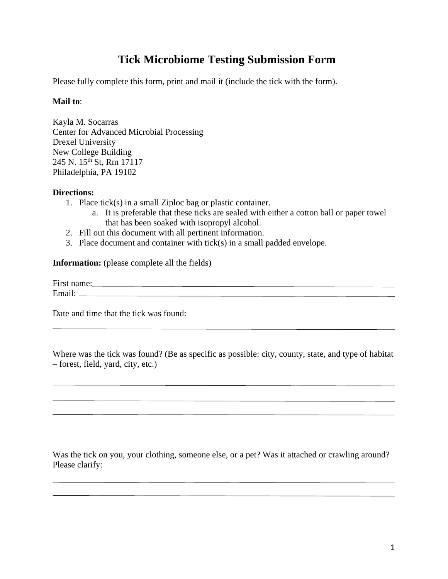## **Tick Microbiome Testing Submission Form**

Please fully complete this form, print and mail it (include the tick with the form).

## **Mail to**:

Kayla M. Socarras Center for Advanced Microbial Processing Drexel University New College Building 245 N. 15<sup>th</sup> St, Rm 17117 Philadelphia, PA 19102

## **Directions:**

- 1. Place tick(s) in a small Ziploc bag or plastic container.
	- a. It is preferable that these ticks are sealed with either a cotton ball or paper towel that has been soaked with isopropyl alcohol.
- 2. Fill out this document with all pertinent information.
- 3. Place document and container with tick(s) in a small padded envelope.

**Information:** (please complete all the fields)

First name: Same and the same state of the same state of the same state of the same state of the same state of the same state of the same state of the same state of the same state of the same state of the same state of the Email: <u>The Community of the Community of the Community of the Community of the Community of the Community of the Community of the Community of the Community of the Community of the Community of the Community of the Commun</u>

Date and time that the tick was found:

Where was the tick was found? (Be as specific as possible: city, county, state, and type of habitat – forest, field, yard, city, etc.)

Was the tick on you, your clothing, someone else, or a pet? Was it attached or crawling around? Please clarify: